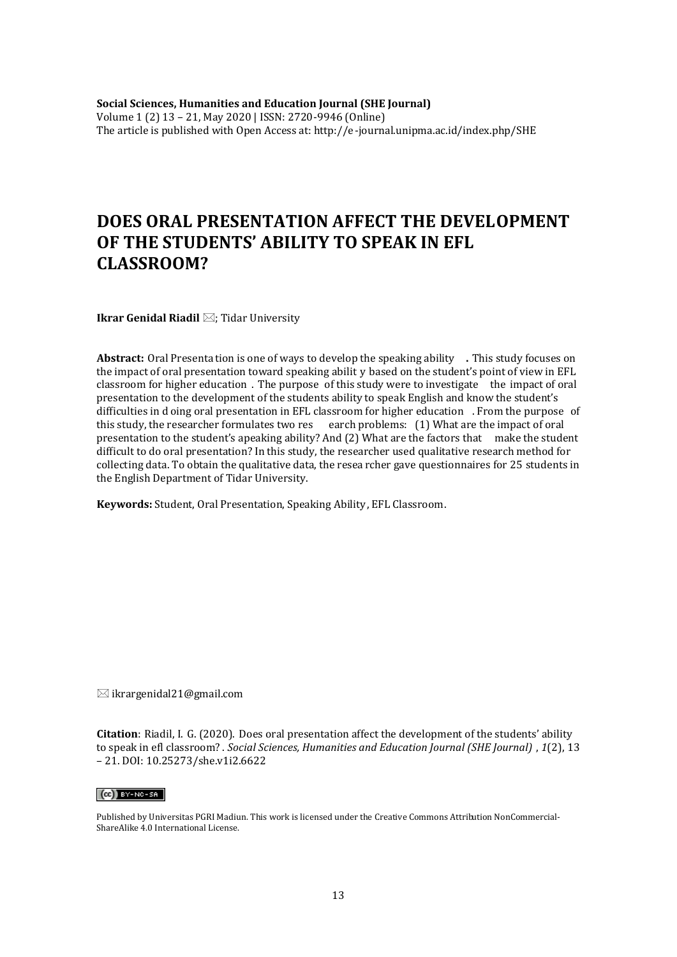**Social Sciences, Humanities and Education Journal (SHE Journal)** Volume 1 (2) 13 – 21, May 2020 | ISSN: 2720-9946 (Online) The article is published with Open Access at: http://e-journal.unipma.ac.id/index.php/SHE

# **DOES ORAL PRESENTATION AFFECT THE DEVELOPMENT OF THE STUDENTS' ABILITY TO SPEAK IN EFL CLASSROOM?**

**Ikrar Genidal Riadil** ⊠; Tidar University

**Abstract:** Oral Presenta tion is one of ways to develop the speaking ability **.** This study focuses on the impact of oral presentation toward speaking abilit y based on the student's point of view in EFL classroom for higher education . The purpose of this study were to investigate the impact of oral presentation to the development of the students ability to speak English and know the student's difficulties in d oing oral presentation in EFL classroom for higher education . From the purpose of this study, the researcher formulates two res earch problems: (1) What are the impact of oral presentation to the student's apeaking ability? And (2) What are the factors that make the student difficult to do oral presentation? In this study, the researcher used qualitative research method for collecting data. To obtain the qualitative data, the resea rcher gave questionnaires for 25 students in the English Department of Tidar University.

**Keywords:** Student, Oral Presentation, Speaking Ability, EFL Classroom.

 $\boxtimes$  ikrargenidal21@gmail.com

**Citation**: Riadil, I. G. (2020). Does oral presentation affect the development of the students' ability to speak in efl classroom? . *Social Sciences, Humanities and Education Journal (SHE Journal)* , *1*(2), 13 – 21. DOI: 10.25273/she.v1i2.6622

#### $(c)$  BY-NC-SA

Published by Universitas PGRI Madiun. This work is licensed under the Creative Commons Attribution NonCommercial-ShareAlike 4.0 International License.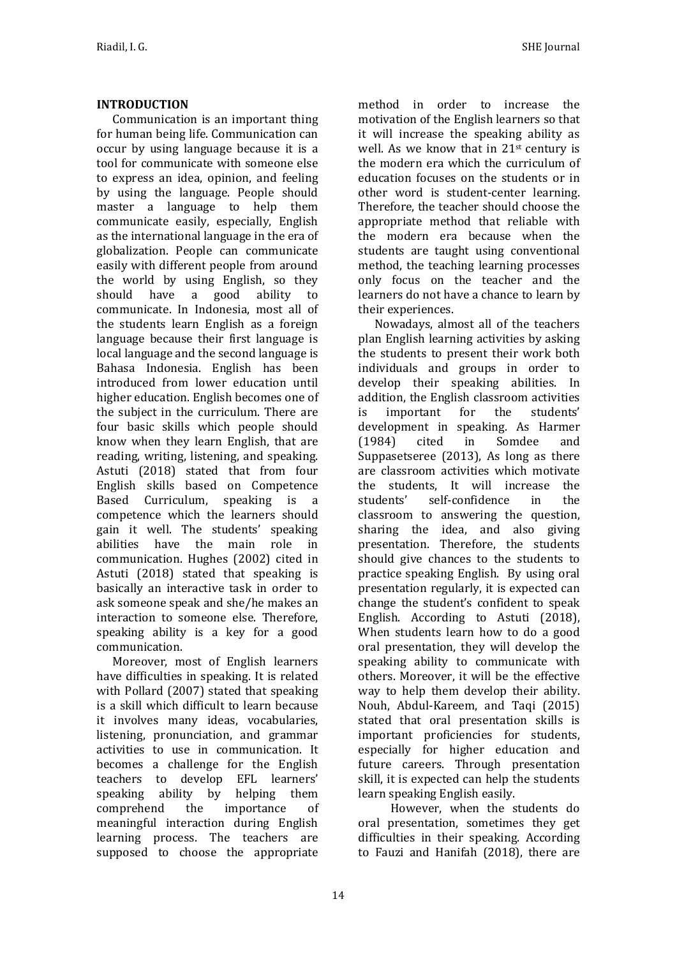## **INTRODUCTION**

Communication is an important thing for human being life. Communication can occur by using language because it is a tool for communicate with someone else to express an idea, opinion, and feeling by using the language. People should master a language to help them communicate easily, especially, English as the international language in the era of globalization. People can communicate easily with different people from around the world by using English, so they should have a good ability to communicate. In Indonesia, most all of the students learn English as a foreign language because their first language is local language and the second language is Bahasa Indonesia. English has been introduced from lower education until higher education. English becomes one of the subject in the curriculum. There are four basic skills which people should know when they learn English, that are reading, writing, listening, and speaking. Astuti (2018) stated that from four English skills based on Competence Based Curriculum, speaking is a competence which the learners should gain it well. The students' speaking abilities have the main role in communication. Hughes (2002) cited in Astuti (2018) stated that speaking is basically an interactive task in order to ask someone speak and she/he makes an interaction to someone else. Therefore, speaking ability is a key for a good communication.

Moreover, most of English learners have difficulties in speaking. It is related with Pollard (2007) stated that speaking is a skill which difficult to learn because it involves many ideas, vocabularies, listening, pronunciation, and grammar activities to use in communication. It becomes a challenge for the English teachers to develop EFL learners' speaking ability by helping them comprehend the importance of meaningful interaction during English learning process. The teachers are supposed to choose the appropriate

method in order to increase the motivation of the English learners so that it will increase the speaking ability as well. As we know that in 21st century is the modern era which the curriculum of education focuses on the students or in other word is student-center learning. Therefore, the teacher should choose the appropriate method that reliable with the modern era because when the students are taught using conventional method, the teaching learning processes only focus on the teacher and the learners do not have a chance to learn by their experiences.

Nowadays, almost all of the teachers plan English learning activities by asking the students to present their work both individuals and groups in order to develop their speaking abilities. In addition, the English classroom activities is important for the students' development in speaking. As Harmer (1984) cited in Somdee and Suppasetseree (2013), As long as there are classroom activities which motivate the students, It will increase the students' self-confidence in the classroom to answering the question, sharing the idea, and also giving presentation. Therefore, the students should give chances to the students to practice speaking English. By using oral presentation regularly, it is expected can change the student's confident to speak English. According to Astuti (2018), When students learn how to do a good oral presentation, they will develop the speaking ability to communicate with others. Moreover, it will be the effective way to help them develop their ability. Nouh, Abdul-Kareem, and Taqi (2015) stated that oral presentation skills is important proficiencies for students, especially for higher education and future careers. Through presentation skill, it is expected can help the students learn speaking English easily.

However, when the students do oral presentation, sometimes they get difficulties in their speaking. According to Fauzi and Hanifah (2018), there are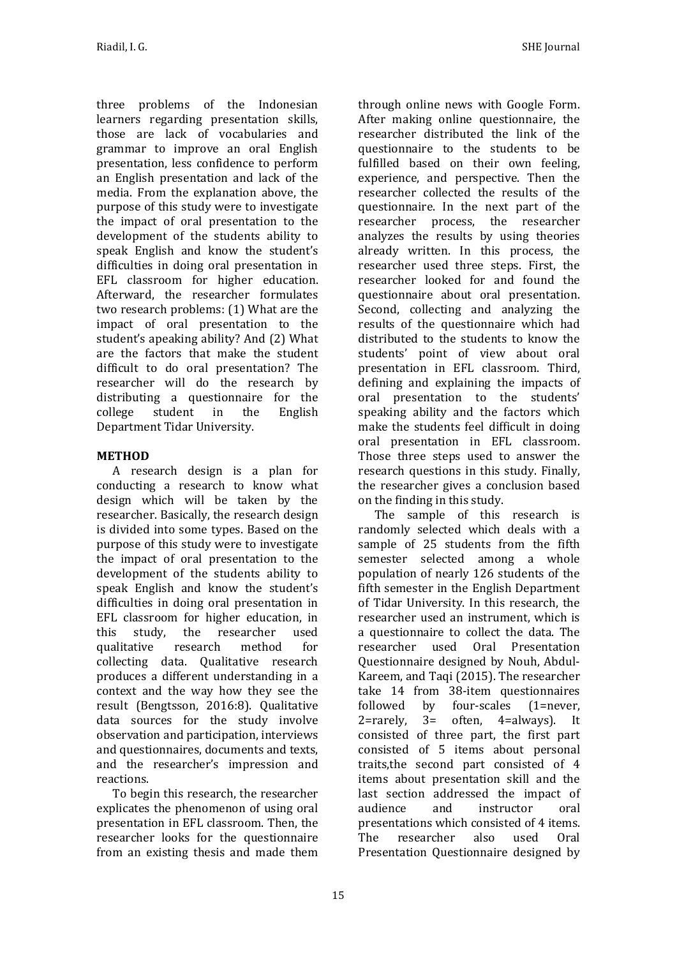three problems of the Indonesian learners regarding presentation skills, those are lack of vocabularies and grammar to improve an oral English presentation, less confidence to perform an English presentation and lack of the media. From the explanation above, the purpose of this study were to investigate the impact of oral presentation to the development of the students ability to speak English and know the student's difficulties in doing oral presentation in EFL classroom for higher education. Afterward, the researcher formulates two research problems: (1) What are the impact of oral presentation to the student's apeaking ability? And (2) What are the factors that make the student difficult to do oral presentation? The researcher will do the research by distributing a questionnaire for the college student in the English Department Tidar University.

## **METHOD**

A research design is a plan for conducting a research to know what design which will be taken by the researcher. Basically, the research design is divided into some types. Based on the purpose of this study were to investigate the impact of oral presentation to the development of the students ability to speak English and know the student's difficulties in doing oral presentation in EFL classroom for higher education, in this study, the researcher used qualitative research method for collecting data. Qualitative research produces a different understanding in a context and the way how they see the result (Bengtsson, 2016:8). Qualitative data sources for the study involve observation and participation, interviews and questionnaires, documents and texts, and the researcher's impression and reactions.

To begin this research, the researcher explicates the phenomenon of using oral presentation in EFL classroom. Then, the researcher looks for the questionnaire from an existing thesis and made them

through online news with Google Form. After making online questionnaire, the researcher distributed the link of the questionnaire to the students to be fulfilled based on their own feeling, experience, and perspective. Then the researcher collected the results of the questionnaire. In the next part of the researcher process, the researcher analyzes the results by using theories already written. In this process, the researcher used three steps. First, the researcher looked for and found the questionnaire about oral presentation. Second, collecting and analyzing the results of the questionnaire which had distributed to the students to know the students' point of view about oral presentation in EFL classroom. Third, defining and explaining the impacts of oral presentation to the students' speaking ability and the factors which make the students feel difficult in doing oral presentation in EFL classroom. Those three steps used to answer the research questions in this study. Finally, the researcher gives a conclusion based on the finding in this study.

The sample of this research is randomly selected which deals with a sample of 25 students from the fifth semester selected among a whole population of nearly 126 students of the fifth semester in the English Department of Tidar University. In this research, the researcher used an instrument, which is a questionnaire to collect the data. The researcher used Oral Presentation Questionnaire designed by Nouh, Abdul-Kareem, and Taqi (2015). The researcher take 14 from 38-item questionnaires followed by four-scales (1=never, 2=rarely, 3= often, 4=always). It consisted of three part, the first part consisted of 5 items about personal traits,the second part consisted of 4 items about presentation skill and the last section addressed the impact of audience and instructor oral presentations which consisted of 4 items. The researcher also used Oral Presentation Questionnaire designed by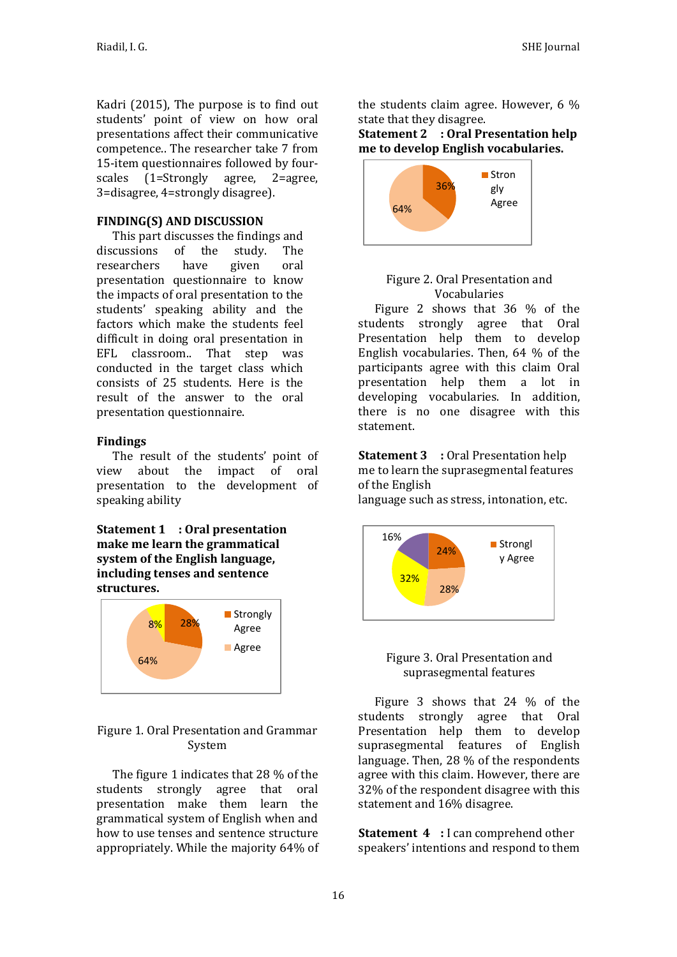Kadri (2015), The purpose is to find out students' point of view on how oral presentations affect their communicative competence.. The researcher take 7 from 15-item questionnaires followed by fourscales (1=Strongly agree, 2=agree, 3=disagree, 4=strongly disagree).

## **FINDING(S) AND DISCUSSION**

This part discusses the findings and discussions of the study. The researchers have given oral presentation questionnaire to know the impacts of oral presentation to the students' speaking ability and the factors which make the students feel difficult in doing oral presentation in EFL classroom.. That step was conducted in the target class which consists of 25 students. Here is the result of the answer to the oral presentation questionnaire.

## **Findings**

The result of the students' point of view about the impact of oral presentation to the development of speaking ability

**Statement 1 : Oral presentation make me learn the grammatical system of the English language, including tenses and sentence structures.**



## Figure 1. Oral Presentation and Grammar System

The figure 1 indicates that 28 % of the students strongly agree that oral presentation make them learn the grammatical system of English when and how to use tenses and sentence structure appropriately. While the majority 64% of the students claim agree. However, 6 % state that they disagree.

## **Statement 2 : Oral Presentation help me to develop English vocabularies.**



#### Figure 2. Oral Presentation and Vocabularies

Figure 2 shows that 36 % of the students strongly agree that Oral Presentation help them to develop English vocabularies. Then, 64 % of the participants agree with this claim Oral presentation help them a lot in developing vocabularies. In addition, there is no one disagree with this statement.

**Statement 3 :** Oral Presentation help me to learn the suprasegmental features of the English

language such as stress, intonation, etc.



## Figure 3. Oral Presentation and suprasegmental features

Figure 3 shows that 24 % of the students strongly agree that Oral Presentation help them to develop suprasegmental features of English language. Then, 28 % of the respondents agree with this claim. However, there are 32% of the respondent disagree with this statement and 16% disagree.

**Statement 4** : I can comprehend other speakers' intentions and respond to them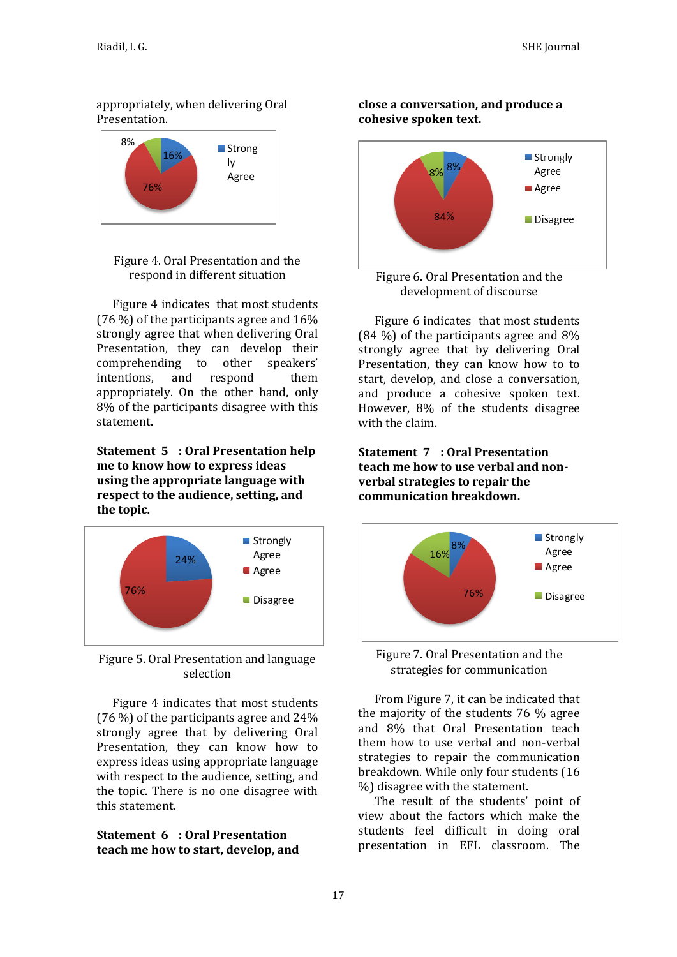## appropriately, when delivering Oral Presentation.



Figure 4. Oral Presentation and the respond in different situation

Figure 4 indicates that most students (76 %) of the participants agree and 16% strongly agree that when delivering Oral Presentation, they can develop their comprehending to other speakers' intentions, and respond them appropriately. On the other hand, only 8% of the participants disagree with this statement.

**Statement 5 : Oral Presentation help me to know how to express ideas using the appropriate language with respect to the audience, setting, and the topic.**



Figure 5. Oral Presentation and language selection

Figure 4 indicates that most students (76 %) of the participants agree and 24% strongly agree that by delivering Oral Presentation, they can know how to express ideas using appropriate language with respect to the audience, setting, and the topic. There is no one disagree with this statement.

#### **Statement 6 : Oral Presentation teach me how to start, develop, and**





Figure 6. Oral Presentation and the development of discourse

Figure 6 indicates that most students (84 %) of the participants agree and 8% strongly agree that by delivering Oral Presentation, they can know how to to start, develop, and close a conversation, and produce a cohesive spoken text. However, 8% of the students disagree with the claim.

**Statement 7 : Oral Presentation teach me how to use verbal and nonverbal strategies to repair the communication breakdown.**





From Figure 7, it can be indicated that the majority of the students 76 % agree and 8% that Oral Presentation teach them how to use verbal and non-verbal strategies to repair the communication breakdown. While only four students (16 %) disagree with the statement.

The result of the students' point of view about the factors which make the students feel difficult in doing oral presentation in EFL classroom. The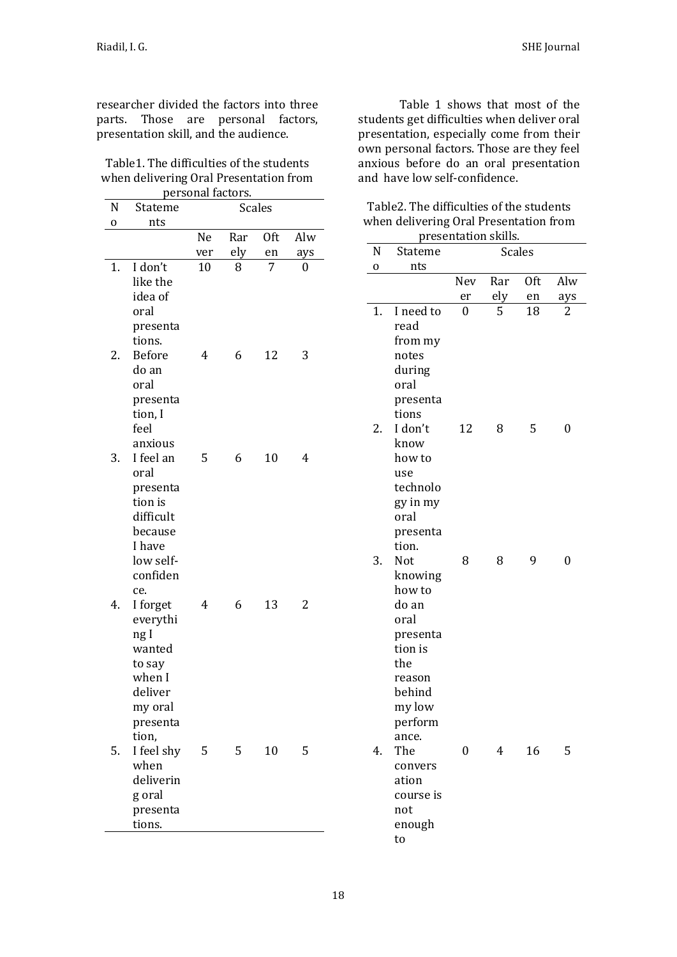researcher divided the factors into three parts. Those are personal factors, presentation skill, and the audience.

| Table 1. The difficulties of the students |
|-------------------------------------------|
| when delivering Oral Presentation from    |
| nersonal factors.                         |

| N  | Stateme                 | personar iaetors.<br>Scales |     |            |     |  |  |
|----|-------------------------|-----------------------------|-----|------------|-----|--|--|
| 0  | nts                     |                             |     |            |     |  |  |
|    |                         | Ne                          | Rar | <b>Oft</b> | Alw |  |  |
|    |                         | ver                         | ely | en         | ays |  |  |
| 1. | I don't                 | 10                          | 8   | 7          | 0   |  |  |
|    | like the                |                             |     |            |     |  |  |
|    | idea of                 |                             |     |            |     |  |  |
|    | oral                    |                             |     |            |     |  |  |
|    | presenta                |                             |     |            |     |  |  |
| 2. | tions.<br><b>Before</b> | 4                           | 6   | 12         | 3   |  |  |
|    | do an                   |                             |     |            |     |  |  |
|    | oral                    |                             |     |            |     |  |  |
|    | presenta                |                             |     |            |     |  |  |
|    | tion, I                 |                             |     |            |     |  |  |
|    | feel                    |                             |     |            |     |  |  |
|    | anxious                 |                             |     |            |     |  |  |
| 3. | I feel an               | 5                           | 6   | 10         | 4   |  |  |
|    | oral                    |                             |     |            |     |  |  |
|    | presenta                |                             |     |            |     |  |  |
|    | tion is                 |                             |     |            |     |  |  |
|    | difficult               |                             |     |            |     |  |  |
|    | because                 |                             |     |            |     |  |  |
|    | I have                  |                             |     |            |     |  |  |
|    | low self-<br>confiden   |                             |     |            |     |  |  |
|    | ce.                     |                             |     |            |     |  |  |
| 4. | I forget                | 4                           | 6   | 13         | 2   |  |  |
|    | everythi                |                             |     |            |     |  |  |
|    | ng I                    |                             |     |            |     |  |  |
|    | wanted                  |                             |     |            |     |  |  |
|    | to say                  |                             |     |            |     |  |  |
|    | when I                  |                             |     |            |     |  |  |
|    | deliver                 |                             |     |            |     |  |  |
|    | my oral                 |                             |     |            |     |  |  |
|    | presenta                |                             |     |            |     |  |  |
|    | tion,                   |                             |     |            |     |  |  |
| 5. | I feel shy              | 5                           | 5   | 10         | 5   |  |  |
|    | when                    |                             |     |            |     |  |  |
|    | deliverin               |                             |     |            |     |  |  |
|    | g oral                  |                             |     |            |     |  |  |
|    | presenta                |                             |     |            |     |  |  |
|    | tions.                  |                             |     |            |     |  |  |

Table 1 shows that most of the students get difficulties when deliver oral presentation, especially come from their own personal factors. Those are they feel anxious before do an oral presentation and have low self-confidence.

| presentation skills.<br><b>Scales</b> |                   |     |          |     |     |
|---------------------------------------|-------------------|-----|----------|-----|-----|
| N                                     | Stateme           |     |          |     |     |
| 0                                     | nts               | Nev | Rar      | 0ft | Alw |
|                                       |                   |     |          |     |     |
|                                       |                   | er  | ely<br>5 | en  | ays |
| 1.                                    | I need to<br>read | 0   |          | 18  | 2   |
|                                       | from my           |     |          |     |     |
|                                       | notes             |     |          |     |     |
|                                       | during            |     |          |     |     |
|                                       | oral              |     |          |     |     |
|                                       | presenta          |     |          |     |     |
|                                       | tions             |     |          |     |     |
| 2.                                    | I don't           | 12  | 8        | 5   | 0   |
|                                       | know              |     |          |     |     |
|                                       | how to            |     |          |     |     |
|                                       | use               |     |          |     |     |
|                                       | technolo          |     |          |     |     |
|                                       | gy in my          |     |          |     |     |
|                                       | oral              |     |          |     |     |
|                                       | presenta          |     |          |     |     |
|                                       | tion.             |     |          |     |     |
| 3.                                    | Not               | 8   | 8        | 9   | 0   |
|                                       | knowing           |     |          |     |     |
|                                       | how to            |     |          |     |     |
|                                       | do an             |     |          |     |     |
|                                       | oral              |     |          |     |     |
|                                       | presenta          |     |          |     |     |
|                                       | tion is           |     |          |     |     |
|                                       | the               |     |          |     |     |
|                                       | reason            |     |          |     |     |
|                                       | behind            |     |          |     |     |
|                                       | my low            |     |          |     |     |
|                                       | perform           |     |          |     |     |
|                                       | ance.             |     |          |     |     |
| 4.                                    | The               | 0   | 4        | 16  | 5   |
|                                       | convers<br>ation  |     |          |     |     |
|                                       | course is         |     |          |     |     |
|                                       | not               |     |          |     |     |
|                                       | enough            |     |          |     |     |
|                                       | to                |     |          |     |     |

Table2. The difficulties of the students when delivering Oral Presentation from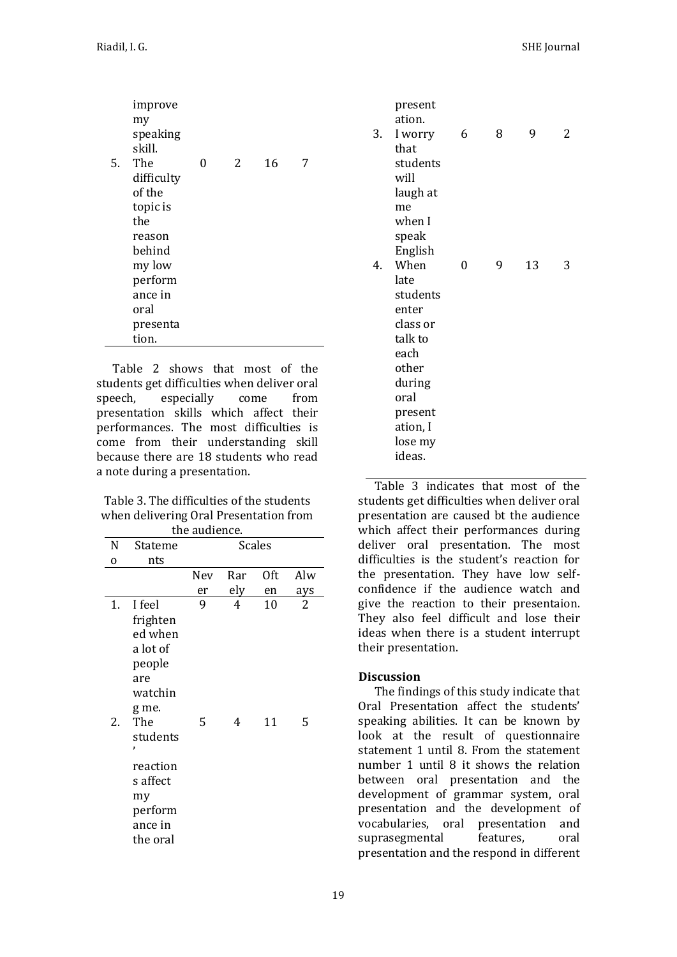|    | improve<br>my<br>speaking<br>skill. |   |   |    |   |
|----|-------------------------------------|---|---|----|---|
| 5. | The                                 | 0 | 2 | 16 | 7 |
|    | difficulty<br>of the                |   |   |    |   |
|    | topic is                            |   |   |    |   |
|    | the                                 |   |   |    |   |
|    | reason                              |   |   |    |   |
|    | behind                              |   |   |    |   |
|    | my low                              |   |   |    |   |
|    | perform                             |   |   |    |   |
|    | ance in                             |   |   |    |   |
|    | oral                                |   |   |    |   |
|    | presenta                            |   |   |    |   |
|    | tion.                               |   |   |    |   |

Table 2 shows that most of the students get difficulties when deliver oral speech, especially come from presentation skills which affect their performances. The most difficulties is come from their understanding skill because there are 18 students who read a note during a presentation.

Table 3. The difficulties of the students when delivering Oral Presentation from

| the audience. |                                                              |               |     |     |     |  |
|---------------|--------------------------------------------------------------|---------------|-----|-----|-----|--|
| N             | Stateme                                                      | <b>Scales</b> |     |     |     |  |
| $\mathbf 0$   | nts                                                          |               |     |     |     |  |
|               |                                                              | Nev           | Rar | 0ft | Alw |  |
|               |                                                              | er            | ely | en  | ays |  |
| 1.            | I feel<br>frighten<br>ed when<br>a lot of<br>people<br>are   | 9             | 4   | 10  | 2   |  |
| 2.            | watchin<br>g me.<br>The<br>students<br>,                     | 5             | 4   | 11  | 5   |  |
|               | reaction<br>s affect<br>my<br>perform<br>ance in<br>the oral |               |     |     |     |  |

|    | present<br>ation. |   |   |    |   |
|----|-------------------|---|---|----|---|
| 3. | I worry           | 6 | 8 | 9  | 2 |
|    | that              |   |   |    |   |
|    | students          |   |   |    |   |
|    | will              |   |   |    |   |
|    | laugh at          |   |   |    |   |
|    | me                |   |   |    |   |
|    | when I            |   |   |    |   |
|    | speak             |   |   |    |   |
|    | English           |   |   |    |   |
| 4. | When              | 0 | 9 | 13 | 3 |
|    | late              |   |   |    |   |
|    | students          |   |   |    |   |
|    | enter             |   |   |    |   |
|    | class or          |   |   |    |   |
|    | talk to           |   |   |    |   |
|    | each              |   |   |    |   |
|    | other             |   |   |    |   |
|    | during            |   |   |    |   |
|    | oral              |   |   |    |   |
|    | present           |   |   |    |   |
|    | ation, I          |   |   |    |   |
|    | lose my           |   |   |    |   |
|    | ideas.            |   |   |    |   |

Table 3 indicates that most of the students get difficulties when deliver oral presentation are caused bt the audience which affect their performances during deliver oral presentation. The most difficulties is the student's reaction for the presentation. They have low selfconfidence if the audience watch and give the reaction to their presentaion. They also feel difficult and lose their ideas when there is a student interrupt their presentation.

## **Discussion**

The findings of this study indicate that Oral Presentation affect the students' speaking abilities. It can be known by look at the result of questionnaire statement 1 until 8. From the statement number 1 until 8 it shows the relation between oral presentation and the development of grammar system, oral presentation and the development of vocabularies, oral presentation and suprasegmental features, oral presentation and the respond in different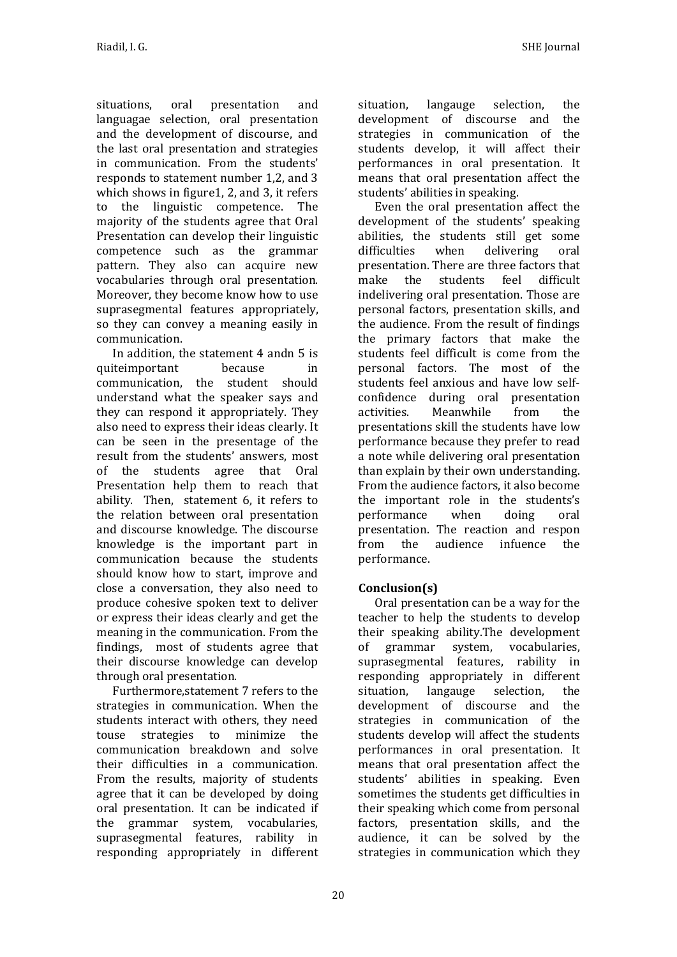situations, oral presentation and languagae selection, oral presentation and the development of discourse, and the last oral presentation and strategies in communication. From the students' responds to statement number 1,2, and 3 which shows in figure1, 2, and 3, it refers to the linguistic competence. The majority of the students agree that Oral Presentation can develop their linguistic competence such as the grammar pattern. They also can acquire new vocabularies through oral presentation. Moreover, they become know how to use suprasegmental features appropriately, so they can convey a meaning easily in communication.

In addition, the statement 4 andn 5 is quiteimportant because in communication, the student should understand what the speaker says and they can respond it appropriately. They also need to express their ideas clearly. It can be seen in the presentage of the result from the students' answers, most of the students agree that Oral Presentation help them to reach that ability. Then, statement 6, it refers to the relation between oral presentation and discourse knowledge. The discourse knowledge is the important part in communication because the students should know how to start, improve and close a conversation, they also need to produce cohesive spoken text to deliver or express their ideas clearly and get the meaning in the communication. From the findings, most of students agree that their discourse knowledge can develop through oral presentation.

Furthermore,statement 7 refers to the strategies in communication. When the students interact with others, they need touse strategies to minimize the communication breakdown and solve their difficulties in a communication. From the results, majority of students agree that it can be developed by doing oral presentation. It can be indicated if the grammar system, vocabularies, suprasegmental features, rability in responding appropriately in different situation, langauge selection, the development of discourse and the strategies in communication of the students develop, it will affect their performances in oral presentation. It means that oral presentation affect the students' abilities in speaking.

Even the oral presentation affect the development of the students' speaking abilities, the students still get some difficulties when delivering oral presentation. There are three factors that make the students feel difficult indelivering oral presentation. Those are personal factors, presentation skills, and the audience. From the result of findings the primary factors that make the students feel difficult is come from the personal factors. The most of the students feel anxious and have low selfconfidence during oral presentation activities. Meanwhile from the presentations skill the students have low performance because they prefer to read a note while delivering oral presentation than explain by their own understanding. From the audience factors, it also become the important role in the students's performance when doing oral presentation. The reaction and respon from the audience infuence the performance.

# **Conclusion(s)**

Oral presentation can be a way for the teacher to help the students to develop their speaking ability.The development of grammar system, vocabularies, suprasegmental features, rability in responding appropriately in different situation, langauge selection, the development of discourse and the strategies in communication of the students develop will affect the students performances in oral presentation. It means that oral presentation affect the students' abilities in speaking. Even sometimes the students get difficulties in their speaking which come from personal factors, presentation skills, and the audience, it can be solved by the strategies in communication which they